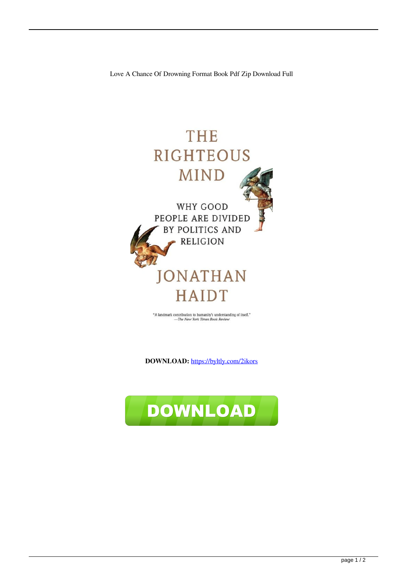

<br>"A landmark contribution to humanity's understanding of itself."<br> <br> $\label{eq:1} -The\; New\; York\; Times\; Book\; Review$ 

**DOWNLOAD:** <https://byltly.com/2ikors>